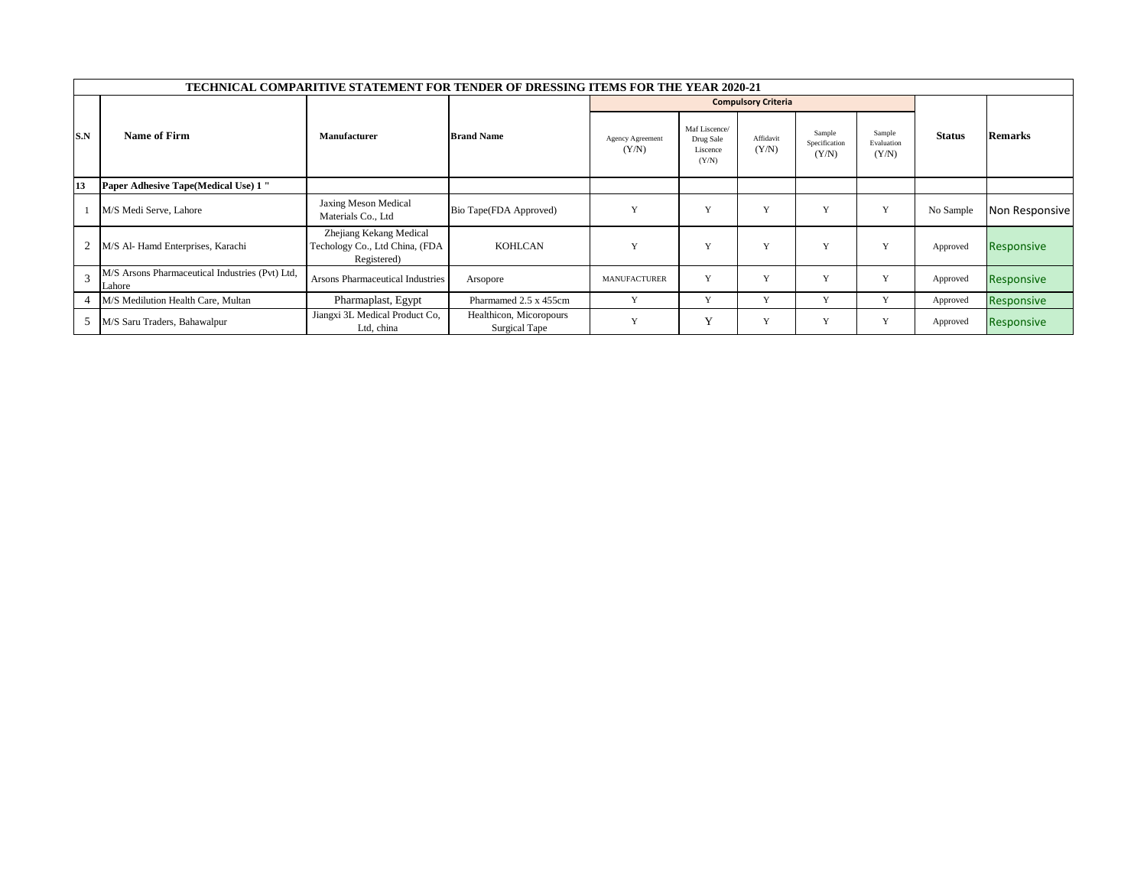|     | <b>TECHNICAL COMPARITIVE STATEMENT FOR TENDER OF DRESSING ITEMS FOR THE YEAR 2020-21</b> |                                                                          |                                          |                                  |                                                 |                    |                                  |                               |           |                   |  |
|-----|------------------------------------------------------------------------------------------|--------------------------------------------------------------------------|------------------------------------------|----------------------------------|-------------------------------------------------|--------------------|----------------------------------|-------------------------------|-----------|-------------------|--|
|     | Name of Firm<br>Manufacturer                                                             |                                                                          | <b>Brand Name</b>                        |                                  | <b>Compulsory Criteria</b>                      |                    |                                  |                               |           |                   |  |
| S.N |                                                                                          |                                                                          |                                          | <b>Agency Agreement</b><br>(Y/N) | Maf Liscence/<br>Drug Sale<br>Liscence<br>(Y/N) | Affidavit<br>(Y/N) | Sample<br>Specification<br>(Y/N) | Sample<br>Evaluation<br>(Y/N) | Status    | <b>Remarks</b>    |  |
| 13  | <b>Paper Adhesive Tape (Medical Use) 1 "</b>                                             |                                                                          |                                          |                                  |                                                 |                    |                                  |                               |           |                   |  |
|     | M/S Medi Serve, Lahore                                                                   | Jaxing Meson Medical<br>Materials Co., Ltd                               | Bio Tape(FDA Approved)                   | $\bf{v}$                         | Y                                               | Y                  | Y                                | $\mathbf{v}$                  | No Sample | Non Responsive    |  |
|     | 2   M/S Al- Hamd Enterprises, Karachi                                                    | Zhejiang Kekang Medical<br>Techology Co., Ltd China, (FDA<br>Registered) | <b>KOHLCAN</b>                           | $\mathbf{v}$                     | Y                                               | Y                  | Y                                | $\mathbf{v}$                  | Approved  | <b>Responsive</b> |  |
|     | M/S Arsons Pharmaceutical Industries (Pvt) Ltd,<br>Lahore                                | Arsons Pharmaceutical Industries                                         | Arsopore                                 | <b>MANUFACTURER</b>              | Y                                               | $\mathbf{v}$       | v                                | $\mathbf{v}$                  | Approved  | Responsive        |  |
|     | M/S Medilution Health Care, Multan                                                       | Pharmaplast, Egypt                                                       | Pharmamed 2.5 x 455cm                    | $\mathbf{v}$                     | Y                                               | $\mathbf{v}$       | v                                | $\mathbf{v}$                  | Approved  | Responsive        |  |
|     | 5 M/S Saru Traders, Bahawalpur                                                           | Jiangxi 3L Medical Product Co,<br>Ltd, china                             | Healthicon, Micoropours<br>Surgical Tape | $\mathbf{v}$                     | $\mathbf{v}$                                    | Y                  | v                                |                               | Approved  | Responsive        |  |